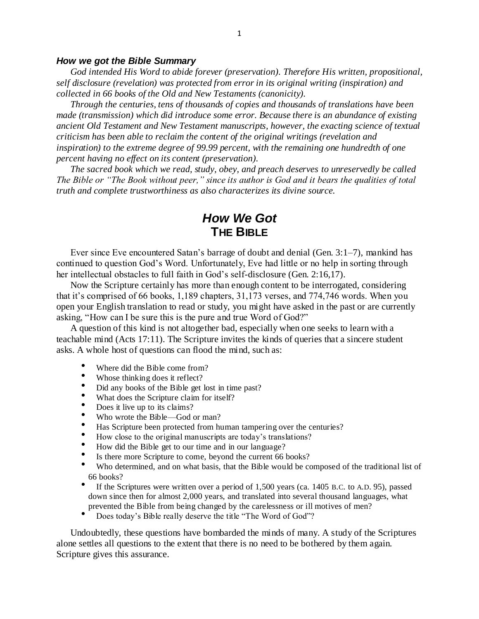#### *How we got the Bible Summary*

*God intended His Word to abide forever (preservation). Therefore His written, propositional, self disclosure (revelation) was protected from error in its original writing (inspiration) and collected in 66 books of the Old and New Testaments (canonicity).*

*Through the centuries, tens of thousands of copies and thousands of translations have been made (transmission) which did introduce some error. Because there is an abundance of existing ancient Old Testament and New Testament manuscripts, however, the exacting science of textual criticism has been able to reclaim the content of the original writings (revelation and inspiration) to the extreme degree of 99.99 percent, with the remaining one hundredth of one percent having no effect on its content (preservation).*

*The sacred book which we read, study, obey, and preach deserves to unreservedly be called The Bible or "The Book without peer," since its author is God and it bears the qualities of total truth and complete trustworthiness as also characterizes its divine source.*

# *How We Got* **THE BIBLE**

Ever since Eve encountered Satan's barrage of doubt and denial (Gen. 3:1–7), mankind has continued to question God's Word. Unfortunately, Eve had little or no help in sorting through her intellectual obstacles to full faith in God's self-disclosure (Gen. 2:16,17).

Now the Scripture certainly has more than enough content to be interrogated, considering that it's comprised of 66 books, 1,189 chapters, 31,173 verses, and 774,746 words. When you open your English translation to read or study, you might have asked in the past or are currently asking, "How can I be sure this is the pure and true Word of God?"

A question of this kind is not altogether bad, especially when one seeks to learn with a teachable mind (Acts 17:11). The Scripture invites the kinds of queries that a sincere student asks. A whole host of questions can flood the mind, such as:

- $\bullet$ Where did the Bible come from?
- $\bullet$ Whose thinking does it reflect?
- $\bullet$ Did any books of the Bible get lost in time past?
- $\bullet$ What does the Scripture claim for itself?
- $\bullet$ Does it live up to its claims?
- $\bullet$ Who wrote the Bible—God or man?
- $\bullet$ Has Scripture been protected from human tampering over the centuries?
- $\bullet$ How close to the original manuscripts are today's translations?
- $\bullet$ How did the Bible get to our time and in our language?
- $\bullet$ Is there more Scripture to come, beyond the current 66 books?
- $\bullet$  Who determined, and on what basis, that the Bible would be composed of the traditional list of 66 books?
- $\bullet$  If the Scriptures were written over a period of 1,500 years (ca. 1405 B.C. to A.D. 95), passed down since then for almost 2,000 years, and translated into several thousand languages, what prevented the Bible from being changed by the carelessness or ill motives of men?
- $\bullet$ Does today's Bible really deserve the title "The Word of God"?

Undoubtedly, these questions have bombarded the minds of many. A study of the Scriptures alone settles all questions to the extent that there is no need to be bothered by them again. Scripture gives this assurance.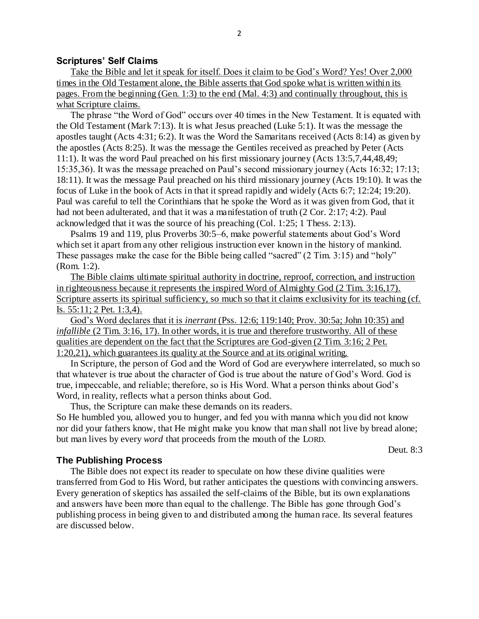### **Scriptures' Self Claims**

Take the Bible and let it speak for itself. Does it claim to be God's Word? Yes! Over 2,000 times in the Old Testament alone, the Bible asserts that God spoke what is written within its pages. From the beginning (Gen. 1:3) to the end (Mal. 4:3) and continually throughout, this is what Scripture claims.

The phrase "the Word of God" occurs over 40 times in the New Testament. It is equated with the Old Testament (Mark 7:13). It is what Jesus preached (Luke 5:1). It was the message the apostles taught (Acts 4:31; 6:2). It was the Word the Samaritans received (Acts 8:14) as given by the apostles (Acts 8:25). It was the message the Gentiles received as preached by Peter (Acts 11:1). It was the word Paul preached on his first missionary journey (Acts 13:5,7,44,48,49; 15:35,36). It was the message preached on Paul's second missionary journey (Acts 16:32; 17:13; 18:11). It was the message Paul preached on his third missionary journey (Acts 19:10). It was the focus of Luke in the book of Acts in that it spread rapidly and widely (Acts 6:7; 12:24; 19:20). Paul was careful to tell the Corinthians that he spoke the Word as it was given from God, that it had not been adulterated, and that it was a manifestation of truth (2 Cor. 2:17; 4:2). Paul acknowledged that it was the source of his preaching (Col. 1:25; 1 Thess. 2:13).

Psalms 19 and 119, plus Proverbs 30:5–6, make powerful statements about God's Word which set it apart from any other religious instruction ever known in the history of mankind. These passages make the case for the Bible being called "sacred" (2 Tim. 3:15) and "holy" (Rom. 1:2).

The Bible claims ultimate spiritual authority in doctrine, reproof, correction, and instruction in righteousness because it represents the inspired Word of Almighty God (2 Tim. 3:16,17). Scripture asserts its spiritual sufficiency, so much so that it claims exclusivity for its teaching (cf. Is. 55:11; 2 Pet. 1:3,4).

God's Word declares that it is *inerrant* (Pss. 12:6; 119:140; Prov. 30:5a; John 10:35) and *infallible* (2 Tim. 3:16, 17). In other words, it is true and therefore trustworthy. All of these qualities are dependent on the fact that the Scriptures are God-given (2 Tim. 3:16; 2 Pet. 1:20,21), which guarantees its quality at the Source and at its original writing.

In Scripture, the person of God and the Word of God are everywhere interrelated, so much so that whatever is true about the character of God is true about the nature of God's Word. God is true, impeccable, and reliable; therefore, so is His Word. What a person thinks about God's Word, in reality, reflects what a person thinks about God.

Thus, the Scripture can make these demands on its readers.

So He humbled you, allowed you to hunger, and fed you with manna which you did not know nor did your fathers know, that He might make you know that man shall not live by bread alone; but man lives by every *word* that proceeds from the mouth of the LORD.

#### **The Publishing Process**

The Bible does not expect its reader to speculate on how these divine qualities were transferred from God to His Word, but rather anticipates the questions with convincing answers. Every generation of skeptics has assailed the self-claims of the Bible, but its own explanations and answers have been more than equal to the challenge. The Bible has gone through God's publishing process in being given to and distributed among the human race. Its several features are discussed below.

Deut. 8:3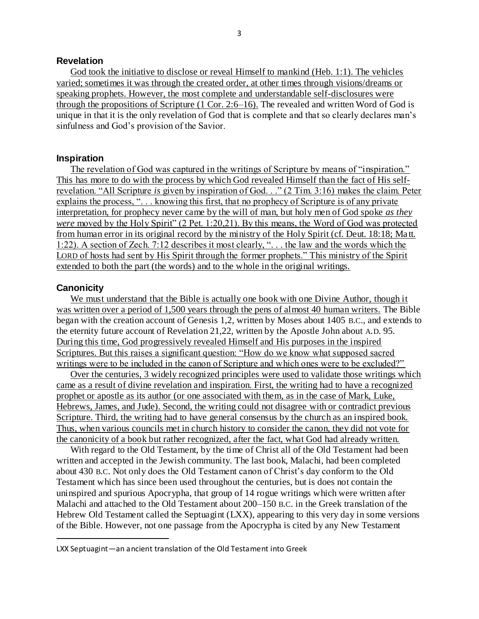#### **Revelation**

God took the initiative to disclose or reveal Himself to mankind (Heb. 1:1). The vehicles varied; sometimes it was through the created order, at other times through visions/dreams or speaking prophets. However, the most complete and understandable self-disclosures were through the propositions of Scripture (1 Cor. 2:6–16). The revealed and written Word of God is unique in that it is the only revelation of God that is complete and that so clearly declares man's sinfulness and God's provision of the Savior.

#### **Inspiration**

The revelation of God was captured in the writings of Scripture by means of "inspiration." This has more to do with the process by which God revealed Himself than the fact of His selfrevelation. "All Scripture *is* given by inspiration of God. . ." (2 Tim. 3:16) makes the claim. Peter explains the process, "... knowing this first, that no prophecy of Scripture is of any private interpretation, for prophecy never came by the will of man, but holy men of God spoke *as they were* moved by the Holy Spirit" (2 Pet. 1:20,21). By this means, the Word of God was protected from human error in its original record by the ministry of the Holy Spirit (cf. Deut. 18:18; Ma tt. 1:22). A section of Zech. 7:12 describes it most clearly, ". . . the law and the words which the LORD of hosts had sent by His Spirit through the former prophets." This ministry of the Spirit extended to both the part (the words) and to the whole in the original writings.

## **Canonicity**

 $\overline{a}$ 

We must understand that the Bible is actually one book with one Divine Author, though it was written over a period of 1,500 years through the pens of almost 40 human writers. The Bible began with the creation account of Genesis 1,2, written by Moses about 1405 B.C., and extends to the eternity future account of Revelation 21,22, written by the Apostle John about A.D. 95. During this time, God progressively revealed Himself and His purposes in the inspired Scriptures. But this raises a significant question: "How do we know what supposed sacred writings were to be included in the canon of Scripture and which ones were to be excluded?"

Over the centuries, 3 widely recognized principles were used to validate those writings which came as a result of divine revelation and inspiration. First, the writing had to have a recognized prophet or apostle as its author (or one associated with them, as in the case of Mark, Luke, Hebrews, James, and Jude). Second, the writing could not disagree with or contradict previous Scripture. Third, the writing had to have general consensus by the church as an inspired book. Thus, when various councils met in church history to consider the canon, they did not vote for the canonicity of a book but rather recognized, after the fact, what God had already written.

With regard to the Old Testament, by the time of Christ all of the Old Testament had been written and accepted in the Jewish community. The last book, Malachi, had been completed about 430 B.C. Not only does the Old Testament canon of Christ's day conform to the Old Testament which has since been used throughout the centuries, but is does not contain the uninspired and spurious Apocrypha, that group of 14 rogue writings which were written after Malachi and attached to the Old Testament about 200–150 B.C. in the Greek translation of the Hebrew Old Testament called the Septuagint (LXX), appearing to this very day in some versions of the Bible. However, not one passage from the Apocrypha is cited by any New Testament

LXX Septuagint—an ancient translation of the Old Testament into Greek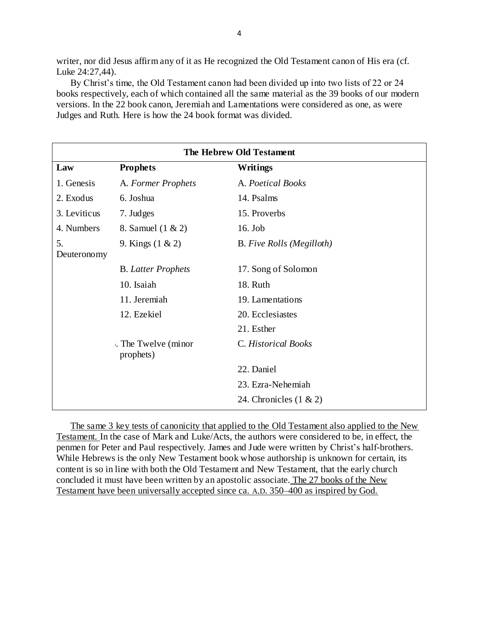writer, nor did Jesus affirm any of it as He recognized the Old Testament canon of His era (cf. Luke 24:27,44).

By Christ's time, the Old Testament canon had been divided up into two lists of 22 or 24 books respectively, each of which contained all the same material as the 39 books of our modern versions. In the 22 book canon, Jeremiah and Lamentations were considered as one, as were Judges and Ruth. Here is how the 24 book format was divided.

| The Hebrew Old Testament |                                  |                                  |
|--------------------------|----------------------------------|----------------------------------|
| Law                      | <b>Prophets</b>                  | <b>Writings</b>                  |
| 1. Genesis               | A. Former Prophets               | A. Poetical Books                |
| 2. Exodus                | 6. Joshua                        | 14. Psalms                       |
| 3. Leviticus             | 7. Judges                        | 15. Proverbs                     |
| 4. Numbers               | 8. Samuel (1 & 2)                | 16. Job                          |
| 5.<br>Deuteronomy        | 9. Kings $(1 \& 2)$              | <b>B.</b> Five Rolls (Megilloth) |
|                          | <b>B.</b> Latter Prophets        | 17. Song of Solomon              |
|                          | 10. Isaiah                       | 18. Ruth                         |
|                          | 11. Jeremiah                     | 19. Lamentations                 |
|                          | 12. Ezekiel                      | 20. Ecclesiastes                 |
|                          |                                  | 21. Esther                       |
|                          | . The Twelve (minor<br>prophets) | C. Historical Books              |
|                          |                                  | 22. Daniel                       |
|                          |                                  | 23. Ezra-Nehemiah                |
|                          |                                  | 24. Chronicles $(1 \& 2)$        |

The same 3 key tests of canonicity that applied to the Old Testament also applied to the New Testament. In the case of Mark and Luke/Acts, the authors were considered to be, in effect, the penmen for Peter and Paul respectively. James and Jude were written by Christ's half-brothers. While Hebrews is the only New Testament book whose authorship is unknown for certain, its content is so in line with both the Old Testament and New Testament, that the early church concluded it must have been written by an apostolic associate. The 27 books of the New Testament have been universally accepted since ca. A.D. 350–400 as inspired by God.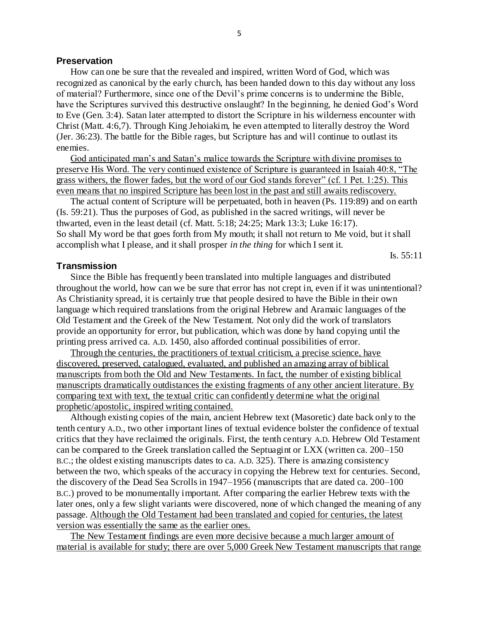#### **Preservation**

How can one be sure that the revealed and inspired, written Word of God, which was recognized as canonical by the early church, has been handed down to this day without any loss of material? Furthermore, since one of the Devil's prime concerns is to undermine the Bible, have the Scriptures survived this destructive onslaught? In the beginning, he denied God's Word to Eve (Gen. 3:4). Satan later attempted to distort the Scripture in his wilderness encounter with Christ (Matt. 4:6,7). Through King Jehoiakim, he even attempted to literally destroy the Word (Jer. 36:23). The battle for the Bible rages, but Scripture has and will continue to outlast its enemies.

God anticipated man's and Satan's malice towards the Scripture with divine promises to preserve His Word. The very continued existence of Scripture is guaranteed in Isaiah 40:8, "The grass withers, the flower fades, but the word of our God stands forever" (cf. 1 Pet. 1:25). This even means that no inspired Scripture has been lost in the past and still awaits rediscovery.

The actual content of Scripture will be perpetuated, both in heaven (Ps. 119:89) and on earth (Is. 59:21). Thus the purposes of God, as published in the sacred writings, will never be thwarted, even in the least detail (cf. Matt. 5:18; 24:25; Mark 13:3; Luke 16:17). So shall My word be that goes forth from My mouth; it shall not return to Me void, but it shall accomplish what I please, and it shall prosper *in the thing* for which I sent it. Is. 55:11

## **Transmission**

Since the Bible has frequently been translated into multiple languages and distributed throughout the world, how can we be sure that error has not crept in, even if it was unintentional? As Christianity spread, it is certainly true that people desired to have the Bible in their own language which required translations from the original Hebrew and Aramaic languages of the Old Testament and the Greek of the New Testament. Not only did the work of translators provide an opportunity for error, but publication, which was done by hand copying until the printing press arrived ca. A.D. 1450, also afforded continual possibilities of error.

Through the centuries, the practitioners of textual criticism, a precise science, have discovered, preserved, catalogued, evaluated, and published an amazing array of biblical manuscripts from both the Old and New Testaments. In fact, the number of existing biblical manuscripts dramatically outdistances the existing fragments of any other ancient literature. By comparing text with text, the textual critic can confidently determine what the original prophetic/apostolic, inspired writing contained.

Although existing copies of the main, ancient Hebrew text (Masoretic) date back only to the tenth century A.D., two other important lines of textual evidence bolster the confidence of textual critics that they have reclaimed the originals. First, the tenth century A.D. Hebrew Old Testament can be compared to the Greek translation called the Septuagint or LXX (written ca. 200–150 B.C.; the oldest existing manuscripts dates to ca*.* A.D. 325). There is amazing consistency between the two, which speaks of the accuracy in copying the Hebrew text for centuries. Second, the discovery of the Dead Sea Scrolls in 1947–1956 (manuscripts that are dated ca. 200–100 B.C.) proved to be monumentally important. After comparing the earlier Hebrew texts with the later ones, only a few slight variants were discovered, none of which changed the meaning of any passage. Although the Old Testament had been translated and copied for centuries, the latest version was essentially the same as the earlier ones.

The New Testament findings are even more decisive because a much larger amount of material is available for study; there are over 5,000 Greek New Testament manuscripts that range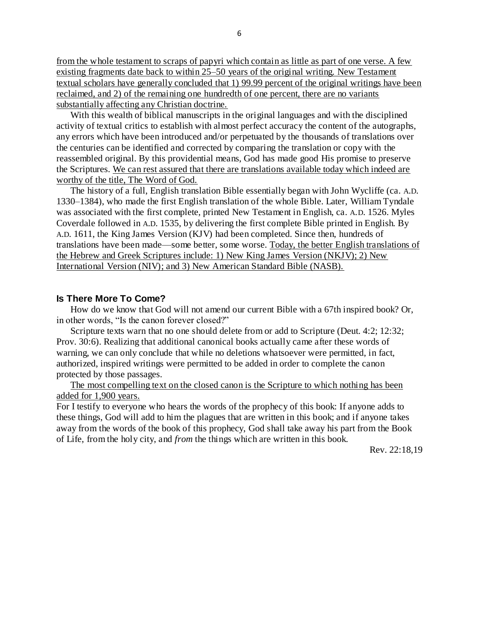from the whole testament to scraps of papyri which contain as little as part of one verse. A few existing fragments date back to within 25–50 years of the original writing. New Testament textual scholars have generally concluded that 1) 99.99 percent of the original writings have been reclaimed, and 2) of the remaining one hundredth of one percent, there are no variants substantially affecting any Christian doctrine.

With this wealth of biblical manuscripts in the original languages and with the disciplined activity of textual critics to establish with almost perfect accuracy the content of the autographs, any errors which have been introduced and/or perpetuated by the thousands of translations over the centuries can be identified and corrected by comparing the translation or copy with the reassembled original. By this providential means, God has made good His promise to preserve the Scriptures. We can rest assured that there are translations available today which indeed are worthy of the title, The Word of God.

The history of a full, English translation Bible essentially began with John Wycliffe (ca*.* A.D. 1330–1384), who made the first English translation of the whole Bible. Later, William Tyndale was associated with the first complete, printed New Testament in English, ca*.* A.D. 1526. Myles Coverdale followed in A.D. 1535, by delivering the first complete Bible printed in English. By A.D. 1611, the King James Version (KJV) had been completed. Since then, hundreds of translations have been made—some better, some worse. Today, the better English translations of the Hebrew and Greek Scriptures include: 1) New King James Version (NKJV); 2) New International Version (NIV); and 3) New American Standard Bible (NASB).

## **Is There More To Come?**

How do we know that God will not amend our current Bible with a 67th inspired book? Or, in other words, "Is the canon forever closed?"

Scripture texts warn that no one should delete from or add to Scripture (Deut. 4:2; 12:32; Prov. 30:6). Realizing that additional canonical books actually came after these words of warning, we can only conclude that while no deletions whatsoever were permitted, in fact, authorized, inspired writings were permitted to be added in order to complete the canon protected by those passages.

The most compelling text on the closed canon is the Scripture to which nothing has been added for 1,900 years.

For I testify to everyone who hears the words of the prophecy of this book: If anyone adds to these things, God will add to him the plagues that are written in this book; and if anyone takes away from the words of the book of this prophecy, God shall take away his part from the Book of Life, from the holy city, and *from* the things which are written in this book.

Rev. 22:18,19